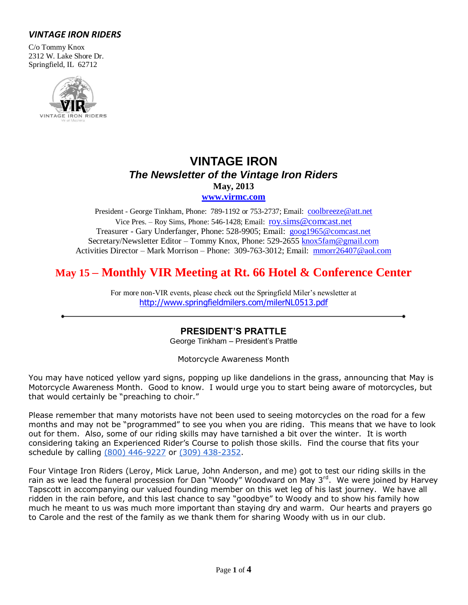# *VINTAGE IRON RIDERS*

C/o Tommy Knox 2312 W. Lake Shore Dr. Springfield, IL 62712



# **VINTAGE IRON** *The Newsletter of the Vintage Iron Riders* **May, 2013 [www.virmc.com](http://www.virmc.com/)**

President - George Tinkham, Phone: 789-1192 or 753-2737; Email: [coolbreeze@att.net](mailto:coolbreeze@att.net) Vice Pres. – Roy Sims, Phone: 546-1428; Email: [roy.sims@comcast.net](mailto:roy.sims@comcast.net) Treasurer - Gary Underfanger, Phone: 528-9905; Email: [goog1965@comcast.net](mailto:goog1965@comcast.net) Secretary/Newsletter Editor – Tommy Knox, Phone: 529-2655 [knox5fam@gmail.com](mailto:knox5fam@gmail.com) Activities Director – Mark Morrison – Phone: 309-763-3012; Email: [mmorr26407@aol.com](mailto:mmorr26407@aol.com)

# **May 15 – Monthly VIR Meeting at Rt. 66 Hotel & Conference Center**

For more non-VIR events, please check out the Springfield Miler's newsletter at [http://www.springfieldmilers.com/milerNL0513.pdf](http://www.springfieldmilers.com/milerNL0113.pdf)

## **PRESIDENT'S PRATTLE**

George Tinkham – President's Prattle

Motorcycle Awareness Month

You may have noticed yellow yard signs, popping up like dandelions in the grass, announcing that May is Motorcycle Awareness Month. Good to know. I would urge you to start being aware of motorcycles, but that would certainly be "preaching to choir."

Please remember that many motorists have not been used to seeing motorcycles on the road for a few months and may not be "programmed" to see you when you are riding. This means that we have to look out for them. Also, some of our riding skills may have tarnished a bit over the winter. It is worth considering taking an Experienced Rider's Course to polish those skills. Find the course that fits your schedule by calling [\(800\) 446-9227](tel:%28800%29%20446-9227) or [\(309\) 438-2352.](tel:%28309%29%20438-2352)

Four Vintage Iron Riders (Leroy, Mick Larue, John Anderson, and me) got to test our riding skills in the rain as we lead the funeral procession for Dan "Woody" Woodward on May 3<sup>rd</sup>. We were joined by Harvey Tapscott in accompanying our valued founding member on this wet leg of his last journey. We have all ridden in the rain before, and this last chance to say "goodbye" to Woody and to show his family how much he meant to us was much more important than staying dry and warm. Our hearts and prayers go to Carole and the rest of the family as we thank them for sharing Woody with us in our club.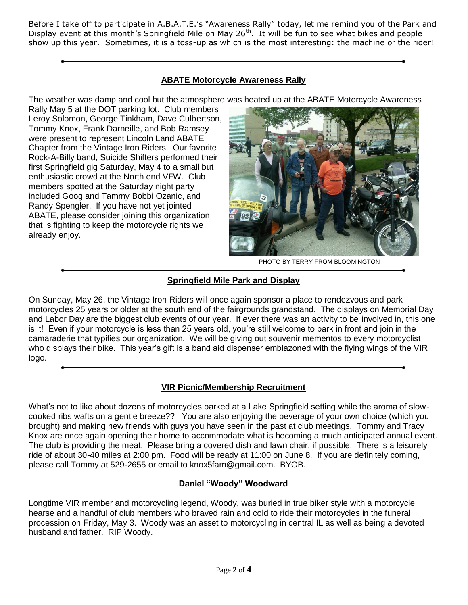Before I take off to participate in A.B.A.T.E.'s "Awareness Rally" today, let me remind you of the Park and Display event at this month's Springfield Mile on May 26<sup>th</sup>. It will be fun to see what bikes and people show up this year. Sometimes, it is a toss-up as which is the most interesting: the machine or the rider!

### **ABATE Motorcycle Awareness Rally**

The weather was damp and cool but the atmosphere was heated up at the ABATE Motorcycle Awareness

Rally May 5 at the DOT parking lot. Club members Leroy Solomon, George Tinkham, Dave Culbertson, Tommy Knox, Frank Darneille, and Bob Ramsey were present to represent Lincoln Land ABATE Chapter from the Vintage Iron Riders. Our favorite Rock-A-Billy band, Suicide Shifters performed their first Springfield gig Saturday, May 4 to a small but enthusiastic crowd at the North end VFW. Club members spotted at the Saturday night party included Goog and Tammy Bobbi Ozanic, and Randy Spengler. If you have not yet jointed ABATE, please consider joining this organization that is fighting to keep the motorcycle rights we already enjoy.



PHOTO BY TERRY FROM BLOOMINGTON

## **Springfield Mile Park and Display**

On Sunday, May 26, the Vintage Iron Riders will once again sponsor a place to rendezvous and park motorcycles 25 years or older at the south end of the fairgrounds grandstand. The displays on Memorial Day and Labor Day are the biggest club events of our year. If ever there was an activity to be involved in, this one is it! Even if your motorcycle is less than 25 years old, you're still welcome to park in front and join in the camaraderie that typifies our organization. We will be giving out souvenir mementos to every motorcyclist who displays their bike. This year's gift is a band aid dispenser emblazoned with the flying wings of the VIR logo.

## **VIR Picnic/Membership Recruitment**

What's not to like about dozens of motorcycles parked at a Lake Springfield setting while the aroma of slowcooked ribs wafts on a gentle breeze?? You are also enjoying the beverage of your own choice (which you brought) and making new friends with guys you have seen in the past at club meetings. Tommy and Tracy Knox are once again opening their home to accommodate what is becoming a much anticipated annual event. The club is providing the meat. Please bring a covered dish and lawn chair, if possible. There is a leisurely ride of about 30-40 miles at 2:00 pm. Food will be ready at 11:00 on June 8. If you are definitely coming, please call Tommy at 529-2655 or email to knox5fam@gmail.com. BYOB.

#### **Daniel "Woody" Woodward**

Longtime VIR member and motorcycling legend, Woody, was buried in true biker style with a motorcycle hearse and a handful of club members who braved rain and cold to ride their motorcycles in the funeral procession on Friday, May 3. Woody was an asset to motorcycling in central IL as well as being a devoted husband and father. RIP Woody.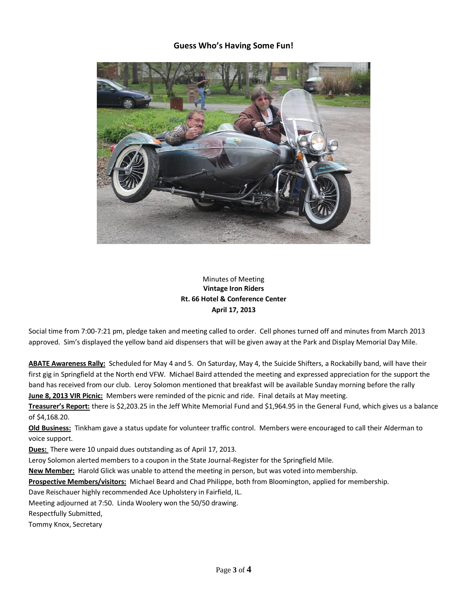#### **Guess Who's Having Some Fun!**



### Minutes of Meeting **Vintage Iron Riders Rt. 66 Hotel & Conference Center April 17, 2013**

Social time from 7:00-7:21 pm, pledge taken and meeting called to order. Cell phones turned off and minutes from March 2013 approved. Sim's displayed the yellow band aid dispensers that will be given away at the Park and Display Memorial Day Mile.

**ABATE Awareness Rally:** Scheduled for May 4 and 5. On Saturday, May 4, the Suicide Shifters, a Rockabilly band, will have their first gig in Springfield at the North end VFW. Michael Baird attended the meeting and expressed appreciation for the support the band has received from our club. Leroy Solomon mentioned that breakfast will be available Sunday morning before the rally **June 8, 2013 VIR Picnic:** Members were reminded of the picnic and ride. Final details at May meeting.

**Treasurer's Report:** there is \$2,203.25 in the Jeff White Memorial Fund and \$1,964.95 in the General Fund, which gives us a balance of \$4,168.20.

**Old Business:** Tinkham gave a status update for volunteer traffic control. Members were encouraged to call their Alderman to voice support.

**Dues:** There were 10 unpaid dues outstanding as of April 17, 2013.

Leroy Solomon alerted members to a coupon in the State Journal-Register for the Springfield Mile.

**New Member:** Harold Glick was unable to attend the meeting in person, but was voted into membership.

**Prospective Members/visitors:** Michael Beard and Chad Philippe, both from Bloomington, applied for membership.

Dave Reischauer highly recommended Ace Upholstery in Fairfield, IL.

Meeting adjourned at 7:50. Linda Woolery won the 50/50 drawing.

Respectfully Submitted,

Tommy Knox, Secretary